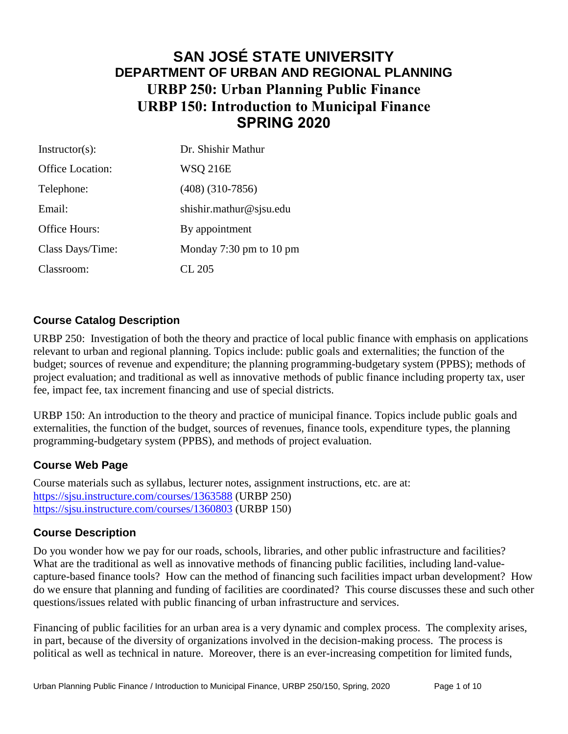# **SAN JOSÉ STATE UNIVERSITY DEPARTMENT OF URBAN AND REGIONAL PLANNING URBP 250: Urban Planning Public Finance URBP 150: Introduction to Municipal Finance SPRING 2020**

| $Instructor(s)$ : | Dr. Shishir Mathur      |
|-------------------|-------------------------|
| Office Location:  | <b>WSQ 216E</b>         |
| Telephone:        | $(408)$ $(310-7856)$    |
| Email:            | shishir.mathur@sjsu.edu |
| Office Hours:     | By appointment          |
| Class Days/Time:  | Monday 7:30 pm to 10 pm |
| Classroom:        | CL 205                  |

## **Course Catalog Description**

URBP 250: Investigation of both the theory and practice of local public finance with emphasis on applications relevant to urban and regional planning. Topics include: public goals and externalities; the function of the budget; sources of revenue and expenditure; the planning programming-budgetary system (PPBS); methods of project evaluation; and traditional as well as innovative methods of public finance including property tax, user fee, impact fee, tax increment financing and use of special districts.

URBP 150: An introduction to the theory and practice of municipal finance. Topics include public goals and externalities, the function of the budget, sources of revenues, finance tools, expenditure types, the planning programming-budgetary system (PPBS), and methods of project evaluation.

## **Course Web Page**

Course materials such as syllabus, lecturer notes, assignment instructions, etc. are at: <https://sjsu.instructure.com/courses/1363588> (URBP 250) <https://sjsu.instructure.com/courses/1360803> (URBP 150)

## **Course Description**

Do you wonder how we pay for our roads, schools, libraries, and other public infrastructure and facilities? What are the traditional as well as innovative methods of financing public facilities, including land-valuecapture-based finance tools? How can the method of financing such facilities impact urban development? How do we ensure that planning and funding of facilities are coordinated? This course discusses these and such other questions/issues related with public financing of urban infrastructure and services.

Financing of public facilities for an urban area is a very dynamic and complex process. The complexity arises, in part, because of the diversity of organizations involved in the decision-making process. The process is political as well as technical in nature. Moreover, there is an ever-increasing competition for limited funds,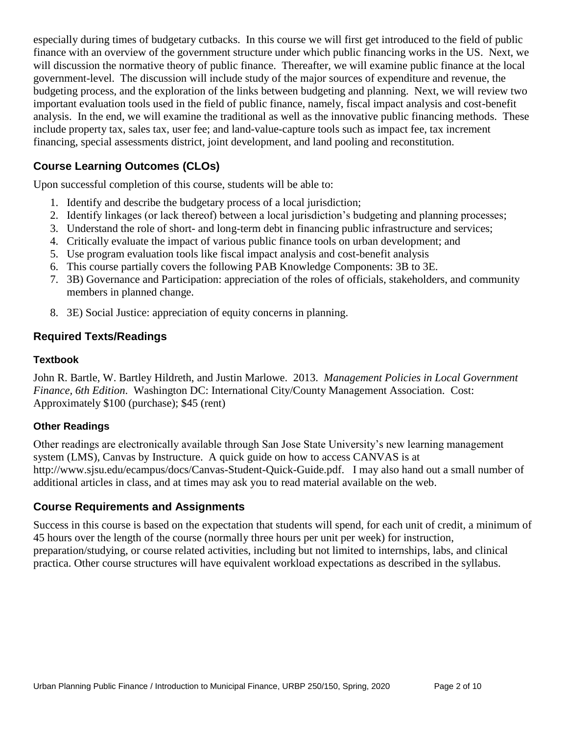especially during times of budgetary cutbacks. In this course we will first get introduced to the field of public finance with an overview of the government structure under which public financing works in the US. Next, we will discussion the normative theory of public finance. Thereafter, we will examine public finance at the local government-level. The discussion will include study of the major sources of expenditure and revenue, the budgeting process, and the exploration of the links between budgeting and planning. Next, we will review two important evaluation tools used in the field of public finance, namely, fiscal impact analysis and cost-benefit analysis. In the end, we will examine the traditional as well as the innovative public financing methods. These include property tax, sales tax, user fee; and land-value-capture tools such as impact fee, tax increment financing, special assessments district, joint development, and land pooling and reconstitution.

## **Course Learning Outcomes (CLOs)**

Upon successful completion of this course, students will be able to:

- 1. Identify and describe the budgetary process of a local jurisdiction;
- 2. Identify linkages (or lack thereof) between a local jurisdiction's budgeting and planning processes;
- 3. Understand the role of short- and long-term debt in financing public infrastructure and services;
- 4. Critically evaluate the impact of various public finance tools on urban development; and
- 5. Use program evaluation tools like fiscal impact analysis and cost-benefit analysis
- 6. This course partially covers the following PAB Knowledge Components: 3B to 3E.
- 7. 3B) Governance and Participation: appreciation of the roles of officials, stakeholders, and community members in planned change.
- 8. 3E) Social Justice: appreciation of equity concerns in planning.

## **Required Texts/Readings**

#### **Textbook**

John R. Bartle, W. Bartley Hildreth, and Justin Marlowe. 2013. *Management Policies in Local Government Finance, 6th Edition*. Washington DC: International City/County Management Association. Cost: Approximately \$100 (purchase); \$45 (rent)

#### **Other Readings**

Other readings are electronically available through San Jose State University's new learning management system (LMS), Canvas by Instructure. A quick guide on how to access CANVAS is at http://www.sjsu.edu/ecampus/docs/Canvas-Student-Quick-Guide.pdf. I may also hand out a small number of additional articles in class, and at times may ask you to read material available on the web.

## **Course Requirements and Assignments**

Success in this course is based on the expectation that students will spend, for each unit of credit, a minimum of 45 hours over the length of the course (normally three hours per unit per week) for instruction, preparation/studying, or course related activities, including but not limited to internships, labs, and clinical practica. Other course structures will have equivalent workload expectations as described in the syllabus.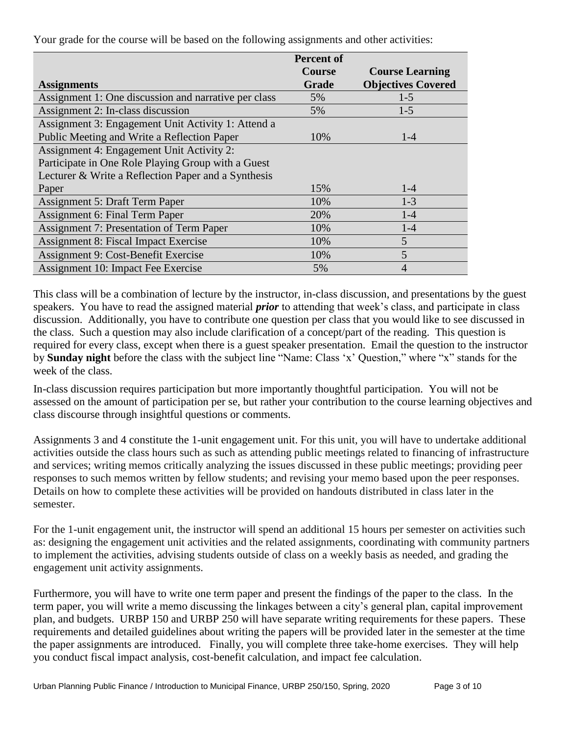**Assignments Percent of Course Grade Course Learning Objectives Covered** Assignment 1: One discussion and narrative per class  $5\%$  1-5 Assignment 2: In-class discussion 5% 1-5 Assignment 3: Engagement Unit Activity 1: Attend a Public Meeting and Write a Reflection Paper 10% 10% Assignment 4: Engagement Unit Activity 2: Participate in One Role Playing Group with a Guest Lecturer & Write a Reflection Paper and a Synthesis Paper  $15\%$  1-4 Assignment 5: Draft Term Paper 10% 1-3 Assignment 6: Final Term Paper 20% 1-4 Assignment 7: Presentation of Term Paper 10% 10% 1-4 Assignment 8: Fiscal Impact Exercise 10% 5 Assignment 9: Cost-Benefit Exercise 10% 5 Assignment 10: Impact Fee Exercise 5% 5% 4

Your grade for the course will be based on the following assignments and other activities:

This class will be a combination of lecture by the instructor, in-class discussion, and presentations by the guest speakers. You have to read the assigned material *prior* to attending that week's class, and participate in class discussion. Additionally, you have to contribute one question per class that you would like to see discussed in the class. Such a question may also include clarification of a concept/part of the reading. This question is required for every class, except when there is a guest speaker presentation. Email the question to the instructor by **Sunday night** before the class with the subject line "Name: Class 'x' Question," where "x" stands for the week of the class.

In-class discussion requires participation but more importantly thoughtful participation. You will not be assessed on the amount of participation per se, but rather your contribution to the course learning objectives and class discourse through insightful questions or comments.

Assignments 3 and 4 constitute the 1-unit engagement unit. For this unit, you will have to undertake additional activities outside the class hours such as such as attending public meetings related to financing of infrastructure and services; writing memos critically analyzing the issues discussed in these public meetings; providing peer responses to such memos written by fellow students; and revising your memo based upon the peer responses. Details on how to complete these activities will be provided on handouts distributed in class later in the semester.

For the 1-unit engagement unit, the instructor will spend an additional 15 hours per semester on activities such as: designing the engagement unit activities and the related assignments, coordinating with community partners to implement the activities, advising students outside of class on a weekly basis as needed, and grading the engagement unit activity assignments.

Furthermore, you will have to write one term paper and present the findings of the paper to the class. In the term paper, you will write a memo discussing the linkages between a city's general plan, capital improvement plan, and budgets. URBP 150 and URBP 250 will have separate writing requirements for these papers. These requirements and detailed guidelines about writing the papers will be provided later in the semester at the time the paper assignments are introduced. Finally, you will complete three take-home exercises. They will help you conduct fiscal impact analysis, cost-benefit calculation, and impact fee calculation.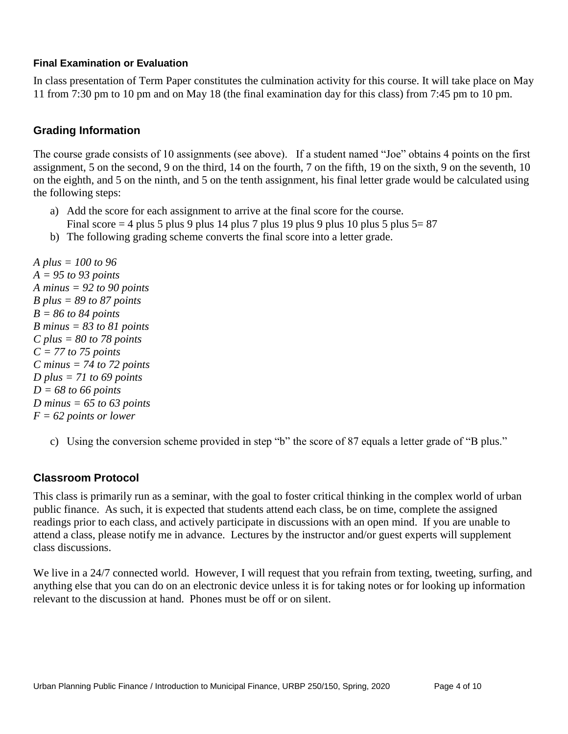#### **Final Examination or Evaluation**

In class presentation of Term Paper constitutes the culmination activity for this course. It will take place on May 11 from 7:30 pm to 10 pm and on May 18 (the final examination day for this class) from 7:45 pm to 10 pm.

## **Grading Information**

The course grade consists of 10 assignments (see above). If a student named "Joe" obtains 4 points on the first assignment, 5 on the second, 9 on the third, 14 on the fourth, 7 on the fifth, 19 on the sixth, 9 on the seventh, 10 on the eighth, and 5 on the ninth, and 5 on the tenth assignment, his final letter grade would be calculated using the following steps:

- a) Add the score for each assignment to arrive at the final score for the course.
- Final score  $= 4$  plus 5 plus 9 plus 14 plus 7 plus 19 plus 9 plus 10 plus 5 plus 5 = 87
- b) The following grading scheme converts the final score into a letter grade.

*A plus = 100 to 96 A = 95 to 93 points A minus = 92 to 90 points B plus = 89 to 87 points B = 86 to 84 points B minus = 83 to 81 points C plus = 80 to 78 points C = 77 to 75 points C minus = 74 to 72 points D plus = 71 to 69 points D = 68 to 66 points D minus = 65 to 63 points F = 62 points or lower*

c) Using the conversion scheme provided in step "b" the score of 87 equals a letter grade of "B plus."

## **Classroom Protocol**

This class is primarily run as a seminar, with the goal to foster critical thinking in the complex world of urban public finance. As such, it is expected that students attend each class, be on time, complete the assigned readings prior to each class, and actively participate in discussions with an open mind. If you are unable to attend a class, please notify me in advance. Lectures by the instructor and/or guest experts will supplement class discussions.

We live in a 24/7 connected world. However, I will request that you refrain from texting, tweeting, surfing, and anything else that you can do on an electronic device unless it is for taking notes or for looking up information relevant to the discussion at hand. Phones must be off or on silent.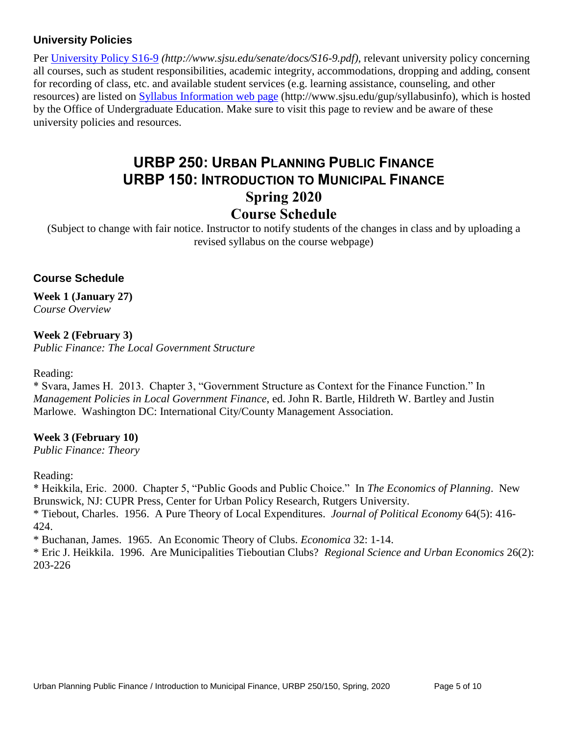## **University Policies**

Per [University Policy S16-9](http://www.sjsu.edu/senate/docs/S16-9.pdf) *(http://www.sjsu.edu/senate/docs/S16-9.pdf)*, relevant university policy concerning all courses, such as student responsibilities, academic integrity, accommodations, dropping and adding, consent for recording of class, etc. and available student services (e.g. learning assistance, counseling, and other resources) are listed on [Syllabus Information](http://www.sjsu.edu/gup/syllabusinfo/) web page (http://www.sjsu.edu/gup/syllabusinfo), which is hosted by the Office of Undergraduate Education. Make sure to visit this page to review and be aware of these university policies and resources.

# **URBP 250: URBAN PLANNING PUBLIC FINANCE URBP 150: INTRODUCTION TO MUNICIPAL FINANCE Spring 2020 Course Schedule**

(Subject to change with fair notice. Instructor to notify students of the changes in class and by uploading a revised syllabus on the course webpage)

## **Course Schedule**

**Week 1 (January 27)** *Course Overview* 

# **Week 2 (February 3)**

*Public Finance: The Local Government Structure*

#### Reading:

\* Svara, James H. 2013. Chapter 3, "Government Structure as Context for the Finance Function." In *Management Policies in Local Government Finance*, ed. John R. Bartle, Hildreth W. Bartley and Justin Marlowe. Washington DC: International City/County Management Association.

## **Week 3 (February 10)**

*Public Finance: Theory*

Reading:

\* Heikkila, Eric. 2000. Chapter 5, "Public Goods and Public Choice." In *The Economics of Planning*. New Brunswick, NJ: CUPR Press, Center for Urban Policy Research, Rutgers University.

\* Tiebout, Charles. 1956. A Pure Theory of Local Expenditures. *Journal of Political Economy* 64(5): 416- 424.

\* Buchanan, James. 1965. An Economic Theory of Clubs. *Economica* 32: 1-14.

\* Eric J. Heikkila. 1996. Are Municipalities Tieboutian Clubs? *[Regional Science and Urban Economics](http://econpapers.repec.org/article/eeeregeco/)* 26(2): 203-226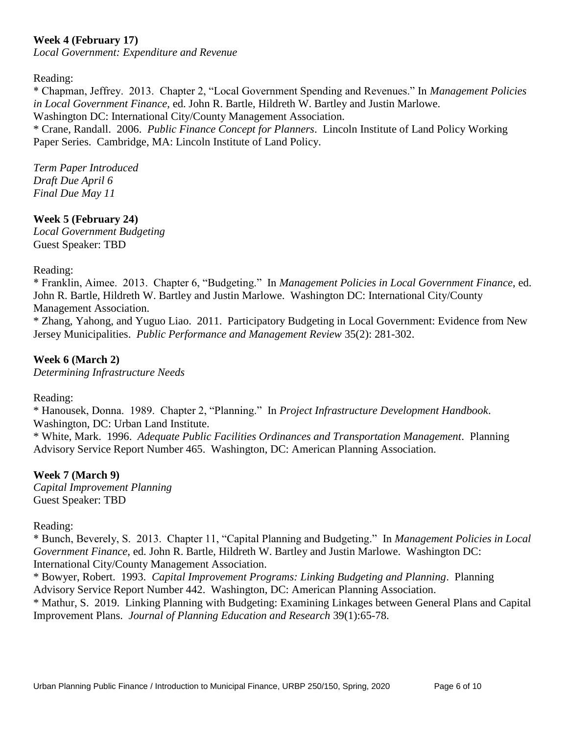## **Week 4 (February 17)**

*Local Government: Expenditure and Revenue*

#### Reading:

\* Chapman, Jeffrey. 2013. Chapter 2, "Local Government Spending and Revenues." In *Management Policies in Local Government Finance*, ed. John R. Bartle, Hildreth W. Bartley and Justin Marlowe. Washington DC: International City/County Management Association.

\* Crane, Randall. 2006. *Public Finance Concept for Planners*. Lincoln Institute of Land Policy Working Paper Series. Cambridge, MA: Lincoln Institute of Land Policy.

*Term Paper Introduced Draft Due April 6 Final Due May 11*

#### **Week 5 (February 24)**

*Local Government Budgeting* Guest Speaker: TBD

#### Reading:

\* Franklin, Aimee. 2013. Chapter 6, "Budgeting." In *Management Policies in Local Government Finance*, ed. John R. Bartle, Hildreth W. Bartley and Justin Marlowe. Washington DC: International City/County Management Association.

\* Zhang, Yahong, and Yuguo Liao. 2011. Participatory Budgeting in Local Government: Evidence from New Jersey Municipalities. *[Public Performance and Management Review](javascript:__doLinkPostBack()* 35(2): 281-302.

## **Week 6 (March 2)**

*Determining Infrastructure Needs*

Reading:

\* [Hanousek,](http://www.amazon.com/s/ref=ntt_athr_dp_sr_1?_encoding=UTF8&field-author=Donna%20Hanousek&ie=UTF8&search-alias=books&sort=relevancerank) Donna. 1989. Chapter 2, "Planning." In *Project Infrastructure Development Handbook*. Washington, DC: Urban Land Institute.

\* White, Mark. 1996. *Adequate Public Facilities Ordinances and Transportation Management*. Planning Advisory Service Report Number 465. Washington, DC: American Planning Association.

#### **Week 7 (March 9)**

*Capital Improvement Planning* Guest Speaker: TBD

#### Reading:

\* Bunch, Beverely, S. 2013. Chapter 11, "Capital Planning and Budgeting." In *Management Policies in Local Government Finance*, ed. John R. Bartle, Hildreth W. Bartley and Justin Marlowe. Washington DC: International City/County Management Association.

\* Bowyer, Robert. 1993. *Capital Improvement Programs: Linking Budgeting and Planning*. Planning Advisory Service Report Number 442. Washington, DC: American Planning Association.

\* Mathur, S. 2019. Linking Planning with Budgeting: Examining Linkages between General Plans and Capital Improvement Plans. *Journal of Planning Education and Research* 39(1):65-78.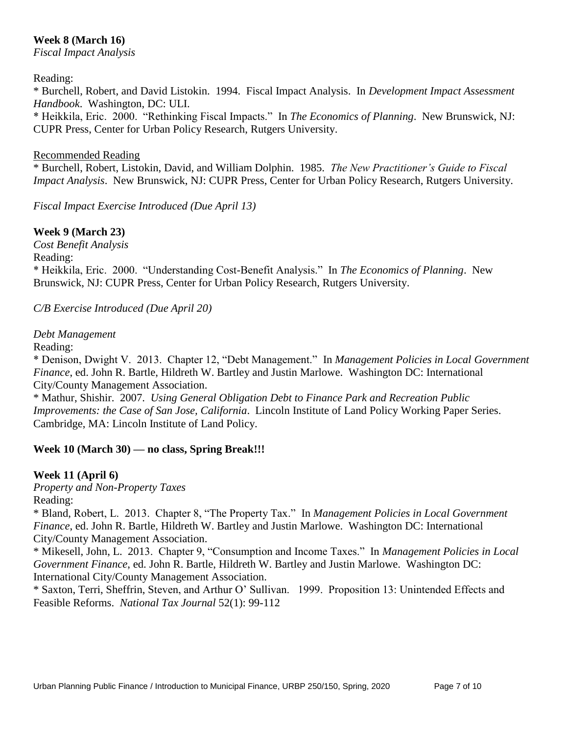## **Week 8 (March 16)**

*Fiscal Impact Analysis*

#### Reading:

\* Burchell, Robert, and David Listokin. 1994. Fiscal Impact Analysis. In *Development Impact Assessment Handbook*. Washington, DC: ULI. \* Heikkila, Eric. 2000. "Rethinking Fiscal Impacts." In *The Economics of Planning*. New Brunswick, NJ: CUPR Press, Center for Urban Policy Research, Rutgers University.

#### Recommended Reading

\* Burchell, Robert, Listokin, David, and William Dolphin. 1985. *The New Practitioner's Guide to Fiscal Impact Analysis*. New Brunswick, NJ: CUPR Press, Center for Urban Policy Research, Rutgers University.

*Fiscal Impact Exercise Introduced (Due April 13)*

#### **Week 9 (March 23)**

*Cost Benefit Analysis* Reading: \* Heikkila, Eric. 2000. "Understanding Cost-Benefit Analysis." In *The Economics of Planning*. New Brunswick, NJ: CUPR Press, Center for Urban Policy Research, Rutgers University.

*C/B Exercise Introduced (Due April 20)*

#### *Debt Management*

Reading:

\* Denison, Dwight V. 2013. Chapter 12, "Debt Management." In *Management Policies in Local Government Finance*, ed. John R. Bartle, Hildreth W. Bartley and Justin Marlowe. Washington DC: International City/County Management Association.

\* Mathur, Shishir. 2007. *Using General Obligation Debt to Finance Park and Recreation Public Improvements: the Case of San Jose, California*. Lincoln Institute of Land Policy Working Paper Series. Cambridge, MA: Lincoln Institute of Land Policy.

## **Week 10 (March 30) — no class, Spring Break!!!**

#### **Week 11 (April 6)**

*Property and Non-Property Taxes* Reading:

\* Bland, Robert, L. 2013. Chapter 8, "The Property Tax." In *Management Policies in Local Government Finance*, ed. John R. Bartle, Hildreth W. Bartley and Justin Marlowe. Washington DC: International City/County Management Association.

\* Mikesell, John, L. 2013. Chapter 9, "Consumption and Income Taxes." In *Management Policies in Local Government Finance*, ed. John R. Bartle, Hildreth W. Bartley and Justin Marlowe. Washington DC: International City/County Management Association.

\* Saxton, Terri, Sheffrin, Steven, and Arthur O' Sullivan. 1999. Proposition 13: Unintended Effects and Feasible Reforms. *National Tax Journal* 52(1): 99-112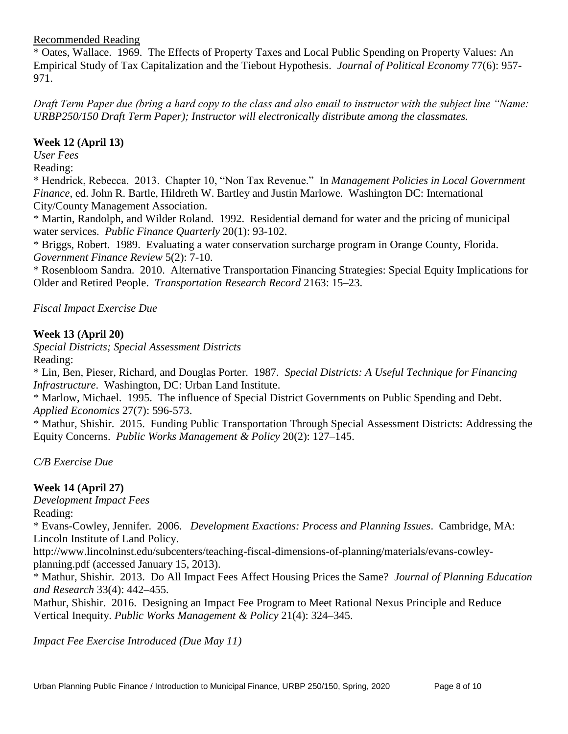#### Recommended Reading

\* Oates, Wallace. 1969. The Effects of Property Taxes and Local Public Spending on Property Values: An Empirical Study of Tax Capitalization and the Tiebout Hypothesis. *Journal of Political Economy* 77(6): 957- 971.

*Draft Term Paper due (bring a hard copy to the class and also email to instructor with the subject line "Name: URBP250/150 Draft Term Paper); Instructor will electronically distribute among the classmates.* 

#### **Week 12 (April 13)**

*User Fees*

Reading:

\* Hendrick, Rebecca. 2013. Chapter 10, "Non Tax Revenue." In *Management Policies in Local Government Finance*, ed. John R. Bartle, Hildreth W. Bartley and Justin Marlowe. Washington DC: International City/County Management Association.

\* Martin, Randolph, and Wilder Roland. 1992. Residential demand for water and the pricing of municipal water services. *Public Finance Quarterly* 20(1): 93-102.

\* Briggs, Robert. 1989. Evaluating a water conservation surcharge program in Orange County, Florida. *Government Finance Review* 5(2): 7-10.

\* Rosenbloom Sandra. 2010. Alternative Transportation Financing Strategies: Special Equity Implications for Older and Retired People. *Transportation Research Record* 2163: 15–23.

*Fiscal Impact Exercise Due*

## **Week 13 (April 20)**

*Special Districts; Special Assessment Districts* Reading:

\* Lin, Ben, Pieser, Richard, and Douglas Porter. 1987. *Special Districts: A Useful Technique for Financing Infrastructure*. Washington, DC: Urban Land Institute.

\* Marlow, Michael. 1995. The influence of Special District Governments on Public Spending and Debt. *Applied Economics* 27(7): 596-573.

\* Mathur, Shishir. 2015. Funding Public Transportation Through Special Assessment Districts: Addressing the Equity Concerns. *Public Works Management & Policy* 20(2): 127–145.

*C/B Exercise Due*

## **Week 14 (April 27)**

*Development Impact Fees* Reading:

\* Evans-Cowley, Jennifer. 2006. *Development Exactions: Process and Planning Issues*. Cambridge, MA: Lincoln Institute of Land Policy.

http://www.lincolninst.edu/subcenters/teaching-fiscal-dimensions-of-planning/materials/evans-cowleyplanning.pdf (accessed January 15, 2013).

\* Mathur, Shishir. 2013. Do All Impact Fees Affect Housing Prices the Same? *Journal of Planning Education and Research* 33(4): 442–455.

Mathur, Shishir. 2016. Designing an Impact Fee Program to Meet Rational Nexus Principle and Reduce Vertical Inequity. *Public Works Management & Policy* 21(4): 324–345.

*Impact Fee Exercise Introduced (Due May 11)*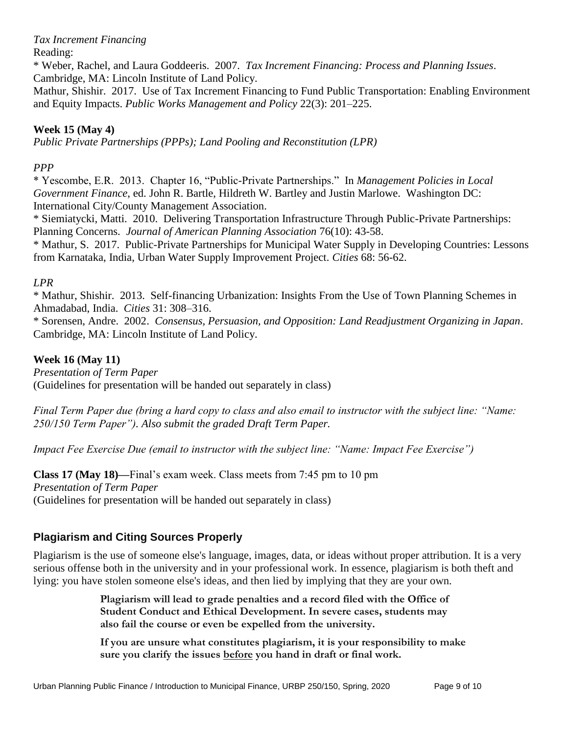*Tax Increment Financing*

Reading:

\* Weber, Rachel, and Laura Goddeeris. 2007. *Tax Increment Financing: Process and Planning Issues*. Cambridge, MA: Lincoln Institute of Land Policy.

Mathur, Shishir. 2017. Use of Tax Increment Financing to Fund Public Transportation: Enabling Environment and Equity Impacts. *Public Works Management and Policy* 22(3): 201–225.

## **Week 15 (May 4)**

*Public Private Partnerships (PPPs); Land Pooling and Reconstitution (LPR)* 

## *PPP*

\* Yescombe, E.R. 2013. Chapter 16, "Public-Private Partnerships." In *Management Policies in Local Government Finance*, ed. John R. Bartle, Hildreth W. Bartley and Justin Marlowe. Washington DC: International City/County Management Association.

\* Siemiatycki, Matti. 2010. Delivering Transportation Infrastructure Through Public-Private Partnerships: Planning Concerns. *Journal of American Planning Association* 76(10): 43-58.

\* Mathur, S. 2017. Public-Private Partnerships for Municipal Water Supply in Developing Countries: Lessons from Karnataka, India, Urban Water Supply Improvement Project. *Cities* 68: 56-62.

## *LPR*

\* Mathur, Shishir. 2013. Self-financing Urbanization: Insights From the Use of Town Planning Schemes in Ahmadabad, India. *Cities* 31: 308–316.

\* Sorensen, Andre. 2002. *Consensus, Persuasion, and Opposition: Land Readjustment Organizing in Japan*. Cambridge, MA: Lincoln Institute of Land Policy.

## **Week 16 (May 11)**

*Presentation of Term Paper* (Guidelines for presentation will be handed out separately in class)

*Final Term Paper due (bring a hard copy to class and also email to instructor with the subject line: "Name: 250/150 Term Paper"). Also submit the graded Draft Term Paper.*

*Impact Fee Exercise Due (email to instructor with the subject line: "Name: Impact Fee Exercise")*

**Class 17 (May 18)—**Final's exam week. Class meets from 7:45 pm to 10 pm *Presentation of Term Paper* (Guidelines for presentation will be handed out separately in class)

## **Plagiarism and Citing Sources Properly**

Plagiarism is the use of someone else's language, images, data, or ideas without proper attribution. It is a very serious offense both in the university and in your professional work. In essence, plagiarism is both theft and lying: you have stolen someone else's ideas, and then lied by implying that they are your own.

> **Plagiarism will lead to grade penalties and a record filed with the Office of Student Conduct and Ethical Development. In severe cases, students may also fail the course or even be expelled from the university.**

**If you are unsure what constitutes plagiarism, it is your responsibility to make sure you clarify the issues before you hand in draft or final work.**